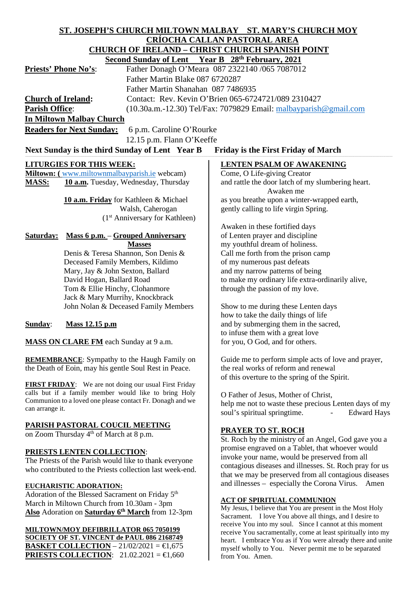| ST. JOSEPH'S CHURCH MILTOWN MALBAY ST. MARY'S CHURCH MOY                                                           |                                                               |                                                                                                                         |
|--------------------------------------------------------------------------------------------------------------------|---------------------------------------------------------------|-------------------------------------------------------------------------------------------------------------------------|
|                                                                                                                    |                                                               | <u>CRÍOCHA CALLAN PASTORAL AREA</u>                                                                                     |
| <b>CHURCH OF IRELAND - CHRIST CHURCH SPANISH POINT</b>                                                             |                                                               |                                                                                                                         |
| Second Sunday of Lent Year B 28th February, 2021                                                                   |                                                               |                                                                                                                         |
| Father Donagh O'Meara 087 2322140 /065 7087012<br><b>Priests' Phone No's:</b>                                      |                                                               |                                                                                                                         |
| Father Martin Blake 087 6720287                                                                                    |                                                               |                                                                                                                         |
| Father Martin Shanahan 087 7486935                                                                                 |                                                               |                                                                                                                         |
| Contact: Rev. Kevin O'Brien 065-6724721/089 2310427<br><b>Church of Ireland:</b>                                   |                                                               |                                                                                                                         |
| <b>Parish Office:</b><br>(10.30a.m.-12.30) Tel/Fax: 7079829 Email: malbayparish@gmail.com                          |                                                               |                                                                                                                         |
|                                                                                                                    | <b>In Miltown Malbay Church</b>                               |                                                                                                                         |
|                                                                                                                    | <b>Readers for Next Sunday:</b><br>6 p.m. Caroline O'Rourke   |                                                                                                                         |
|                                                                                                                    |                                                               |                                                                                                                         |
|                                                                                                                    | 12.15 p.m. Flann O'Keeffe                                     |                                                                                                                         |
|                                                                                                                    | Next Sunday is the third Sunday of Lent Year B                | <b>Friday is the First Friday of March</b>                                                                              |
|                                                                                                                    | <b>LITURGIES FOR THIS WEEK:</b>                               | <b>LENTEN PSALM OF AWAKENING</b>                                                                                        |
|                                                                                                                    | Miltown: (www.miltownmalbayparish.ie webcam)                  | Come, O Life-giving Creator                                                                                             |
| <b>MASS:</b>                                                                                                       | 10 a.m. Tuesday, Wednesday, Thursday                          | and rattle the door latch of my slumbering heart.                                                                       |
|                                                                                                                    |                                                               | Awaken me                                                                                                               |
|                                                                                                                    | 10 a.m. Friday for Kathleen & Michael                         | as you breathe upon a winter-wrapped earth,                                                                             |
|                                                                                                                    | Walsh, Caherogan                                              | gently calling to life virgin Spring.                                                                                   |
|                                                                                                                    | $(1st$ Anniversary for Kathleen)                              |                                                                                                                         |
|                                                                                                                    |                                                               | Awaken in these fortified days                                                                                          |
| <b>Saturday:</b>                                                                                                   | <b>Mass 6 p.m.</b> - Grouped Anniversary                      | of Lenten prayer and discipline                                                                                         |
|                                                                                                                    | <b>Masses</b>                                                 | my youthful dream of holiness.                                                                                          |
|                                                                                                                    | Denis & Teresa Shannon, Son Denis &                           | Call me forth from the prison camp                                                                                      |
|                                                                                                                    | Deceased Family Members, Kildimo                              | of my numerous past defeats<br>and my narrow patterns of being                                                          |
|                                                                                                                    | Mary, Jay & John Sexton, Ballard<br>David Hogan, Ballard Road | to make my ordinary life extra-ordinarily alive,                                                                        |
|                                                                                                                    | Tom & Ellie Hinchy, Clohanmore                                | through the passion of my love.                                                                                         |
|                                                                                                                    | Jack & Mary Murrihy, Knockbrack                               |                                                                                                                         |
|                                                                                                                    | John Nolan & Deceased Family Members                          | Show to me during these Lenten days                                                                                     |
|                                                                                                                    |                                                               | how to take the daily things of life                                                                                    |
| <b>Sunday:</b>                                                                                                     | Mass 12.15 p.m                                                | and by submerging them in the sacred,                                                                                   |
|                                                                                                                    |                                                               | to infuse them with a great love                                                                                        |
| MASS ON CLARE FM each Sunday at 9 a.m.                                                                             |                                                               | for you, O God, and for others.                                                                                         |
|                                                                                                                    |                                                               |                                                                                                                         |
| <b>REMEMBRANCE:</b> Sympathy to the Haugh Family on                                                                |                                                               | Guide me to perform simple acts of love and prayer,                                                                     |
| the Death of Eoin, may his gentle Soul Rest in Peace.                                                              |                                                               | the real works of reform and renewal                                                                                    |
|                                                                                                                    |                                                               | of this overture to the spring of the Spirit.                                                                           |
|                                                                                                                    | <b>FIRST FRIDAY:</b> We are not doing our usual First Friday  |                                                                                                                         |
| calls but if a family member would like to bring Holy<br>Communion to a loved one please contact Fr. Donagh and we |                                                               | O Father of Jesus, Mother of Christ,                                                                                    |
| can arrange it.                                                                                                    |                                                               | help me not to waste these precious Lenten days of my                                                                   |
|                                                                                                                    |                                                               | soul's spiritual springtime.<br><b>Edward Hays</b>                                                                      |
|                                                                                                                    | PARISH PASTORAL COUCIL MEETING                                |                                                                                                                         |
| on Zoom Thursday 4 <sup>th</sup> of March at 8 p.m.                                                                |                                                               | <b>PRAYER TO ST. ROCH</b>                                                                                               |
|                                                                                                                    |                                                               | St. Roch by the ministry of an Angel, God gave you a<br>promise engraved on a Tablet, that whoever would                |
| PRIESTS LENTEN COLLECTION:                                                                                         |                                                               | invoke your name, would be preserved from all                                                                           |
| The Priests of the Parish would like to thank everyone                                                             |                                                               | contagious diseases and illnesses. St. Roch pray for us                                                                 |
| who contributed to the Priests collection last week-end.                                                           |                                                               | that we may be preserved from all contagious diseases                                                                   |
|                                                                                                                    |                                                               | and illnesses - especially the Corona Virus. Amen                                                                       |
| <b>EUCHARISTIC ADORATION:</b><br>Adoration of the Blessed Sacrament on Friday 5th                                  |                                                               |                                                                                                                         |
| March in Miltown Church from 10.30am - 3pm                                                                         |                                                               | <b>ACT OF SPIRITUAL COMMUNION</b>                                                                                       |
| Also Adoration on Saturday 6 <sup>th</sup> March from 12-3pm                                                       |                                                               | My Jesus, I believe that You are present in the Most Holy                                                               |
|                                                                                                                    |                                                               | Sacrament. I love You above all things, and I desire to                                                                 |
|                                                                                                                    | MILTOWN/MOY DEFIBRILLATOR 065 7050199                         | receive You into my soul. Since I cannot at this moment<br>receive You sacramentally, come at least spiritually into my |
| <b>SOCIETY OF ST. VINCENT de PAUL 086 2168749</b>                                                                  |                                                               | heart. I embrace You as if You were already there and unite                                                             |
| <b>BASKET COLLECTION</b> $- 21/02/2021 = \text{€}1,675$                                                            |                                                               | myself wholly to You. Never permit me to be separated                                                                   |

from You. Amen.

**PRIESTS COLLECTION:** 21.02.2021 = €1,660